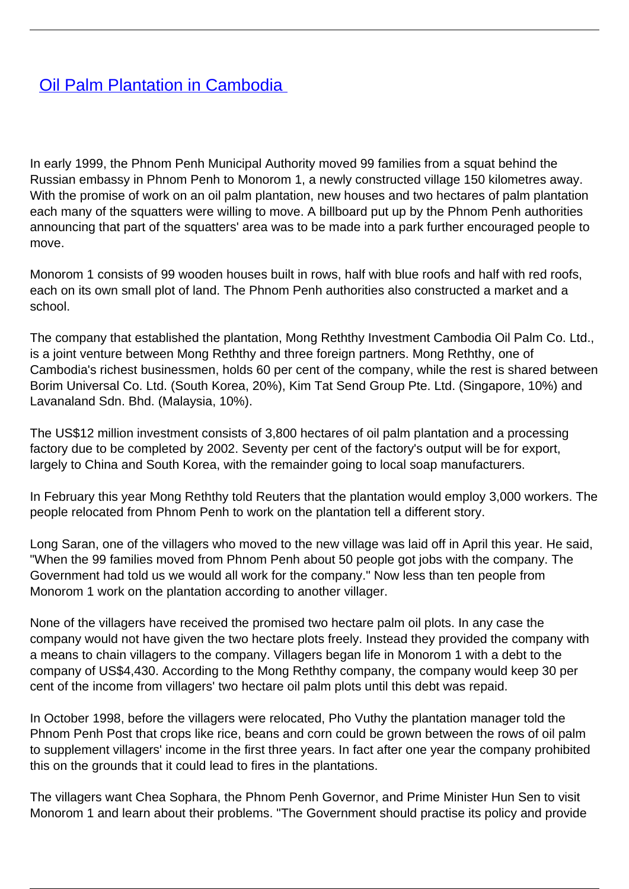## [Oil Palm Plantation in Cambodia](/bulletin-articles/oil-palm-plantation-in-cambodia)

In early 1999, the Phnom Penh Municipal Authority moved 99 families from a squat behind the Russian embassy in Phnom Penh to Monorom 1, a newly constructed village 150 kilometres away. With the promise of work on an oil palm plantation, new houses and two hectares of palm plantation each many of the squatters were willing to move. A billboard put up by the Phnom Penh authorities announcing that part of the squatters' area was to be made into a park further encouraged people to move.

Monorom 1 consists of 99 wooden houses built in rows, half with blue roofs and half with red roofs, each on its own small plot of land. The Phnom Penh authorities also constructed a market and a school.

The company that established the plantation, Mong Reththy Investment Cambodia Oil Palm Co. Ltd., is a joint venture between Mong Reththy and three foreign partners. Mong Reththy, one of Cambodia's richest businessmen, holds 60 per cent of the company, while the rest is shared between Borim Universal Co. Ltd. (South Korea, 20%), Kim Tat Send Group Pte. Ltd. (Singapore, 10%) and Lavanaland Sdn. Bhd. (Malaysia, 10%).

The US\$12 million investment consists of 3,800 hectares of oil palm plantation and a processing factory due to be completed by 2002. Seventy per cent of the factory's output will be for export, largely to China and South Korea, with the remainder going to local soap manufacturers.

In February this year Mong Reththy told Reuters that the plantation would employ 3,000 workers. The people relocated from Phnom Penh to work on the plantation tell a different story.

Long Saran, one of the villagers who moved to the new village was laid off in April this year. He said, "When the 99 families moved from Phnom Penh about 50 people got jobs with the company. The Government had told us we would all work for the company." Now less than ten people from Monorom 1 work on the plantation according to another villager.

None of the villagers have received the promised two hectare palm oil plots. In any case the company would not have given the two hectare plots freely. Instead they provided the company with a means to chain villagers to the company. Villagers began life in Monorom 1 with a debt to the company of US\$4,430. According to the Mong Reththy company, the company would keep 30 per cent of the income from villagers' two hectare oil palm plots until this debt was repaid.

In October 1998, before the villagers were relocated, Pho Vuthy the plantation manager told the Phnom Penh Post that crops like rice, beans and corn could be grown between the rows of oil palm to supplement villagers' income in the first three years. In fact after one year the company prohibited this on the grounds that it could lead to fires in the plantations.

The villagers want Chea Sophara, the Phnom Penh Governor, and Prime Minister Hun Sen to visit Monorom 1 and learn about their problems. "The Government should practise its policy and provide